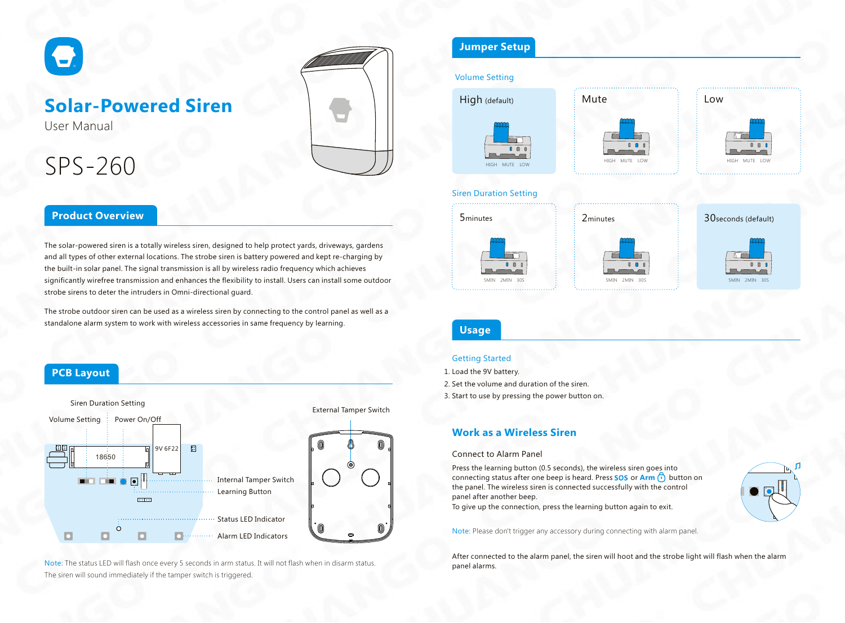

## **Solar-Powered Siren**

User Manual

# SPS-260



## **Product Overview**

The solar-powered siren is a totally wireless siren, designed to help protect yards, driveways, gardens and all types of other external locations. The strobe siren is battery powered and kept re-charging by the built-in solar panel. The signal transmission is all by wireless radio frequency which achieves significantly wirefree transmission and enhances the flexibility to install. Users can install some outdoor strobe sirens to deter the intruders in Omni-directional guard.

The strobe outdoor siren can be used as a wireless siren by connecting to the control panel as well as a standalone alarm system to work with wireless accessories in same frequency by learning.

## **PCB Layout**



Note: The status LED will flash once every 5 seconds in arm status. It will not flash when in disarm status. The siren will sound immediately if the tamper switch is triggered.

## **Jumper Setup**

#### Volume Setting



#### Siren Duration Setting





HIGH MUTE LOW

 $0$   $0$   $0$ 





## **Usage**

#### Getting Started

1. Load the 9V battery. 2. Set the volume and duration of the siren.

3. Start to use by pressing the power button on.

### **Work as a Wireless Siren**

#### Connect to Alarm Panel

Press the learning button (0.5 seconds), the wireless siren goes into connecting status after one beep is heard. Press **SOS** or **Arm c**) button on the panel. The wireless siren is connected successfully with the control panel after another beep.



To give up the connection, press the learning button again to exit.

Note: Please don't trigger any accessory during connecting with alarm panel.

After connected to the alarm panel, the siren will hoot and the strobe light will flash when the alarm panel alarms.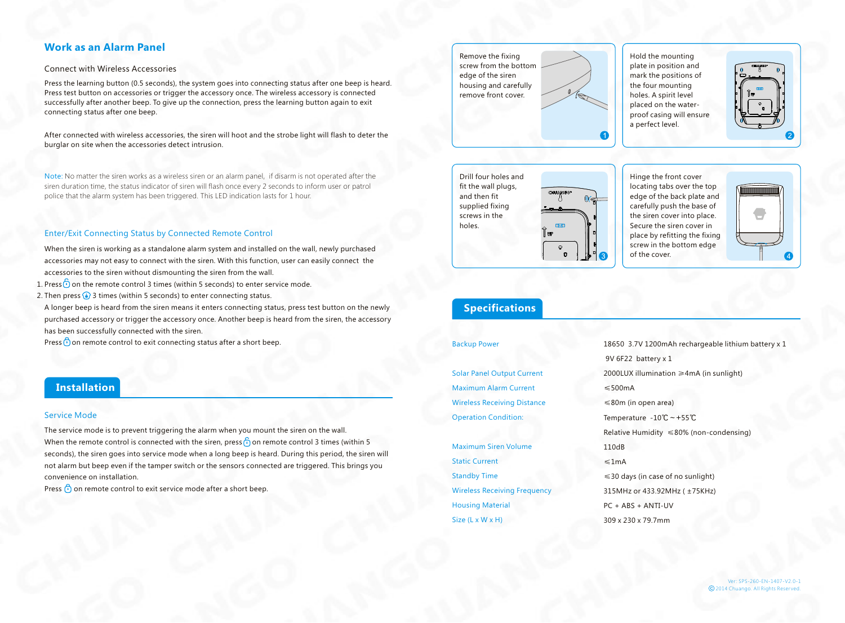### **Work as an Alarm Panel**

#### Connect with Wireless Accessories

Press the learning button (0.5 seconds), the system goes into connecting status after one beep is heard. Press test button on accessories or trigger the accessory once. The wireless accessory is connected successfully after another beep. To give up the connection, press the learning button again to exit connecting status after one beep.

After connected with wireless accessories, the siren will hoot and the strobe light will flash to deter the burglar on site when the accessories detect intrusion.

Note: No matter the siren works as a wireless siren or an alarm panel, if disarm is not operated after the siren duration time, the status indicator of siren will flash once every 2 seconds to inform user or patrol police that the alarm system has been triggered. This LED indication lasts for 1 hour.

#### Enter/Exit Connecting Status by Connected Remote Control

- When the siren is working as a standalone alarm system and installed on the wall, newly purchased accessories may not easy to connect with the siren. With this function, user can easily connect the accessories to the siren without dismounting the siren from the wall.
- 1. Press  $\odot$  on the remote control 3 times (within 5 seconds) to enter service mode.
- 2. Then press (•) 3 times (within 5 seconds) to enter connecting status.
- A longer beep is heard from the siren means it enters connecting status, press test button on the newly purchased accessory or trigger the accessory once. Another beep is heard from the siren, the accessory has been successfully connected with the siren.
- Press  $\bigodot$  on remote control to exit connecting status after a short beep.

#### **Installation**

#### Service Mode

The service mode is to prevent triggering the alarm when you mount the siren on the wall. When the remote control is connected with the siren, press  $\bigcap_{i=1}^{\infty}$  on remote control 3 times (within 5 seconds), the siren goes into service mode when a long beep is heard. During this period, the siren will not alarm but beep even if the tamper switch or the sensors connected are triggered. This brings you convenience on installation.

Press  $\bigcirc$  on remote control to exit service mode after a short beep.

Remove the fixing screw from the bottom edge of the siren housing and carefully remove front cover.

Hold the mounting plate in position and mark the positions of the four mounting holes. A spirit level placed on the waterproof casing will ensure a perfect level.



Drill four holes and fit the wall plugs, and then fit supplied fixing screws in the holes.



Hinge the front cover locating tabs over the top edge of the back plate and carefully push the base of the siren cover into place. Secure the siren cover in place by refitting the fixing screw in the bottom edge of the cover.



## **Specifications**

#### Backup Power

Solar Panel Output Current Maximum Alarm Current Wireless Receiving Distance Operation Condition:

Maximum Siren Volume Static Current Standby Time Wireless Receiving Frequency Housing Material Size (L x W x H)

18650 3.7V 1200mAh rechargeable lithium battery x 1 9V 6F22 battery x 1 2000LUX illumination ≥4mA (in sunlight) ≤500mA ≤80m (in open area) Temperature -10℃~+55℃ Relative Humidity ≤80% (non-condensing) 110dB ≤1mA ≤30 days (in case of no sunlight) 315MHz or 433.92MHz ( ±75KHz) PC + ABS + ANTI-UV 309 x 230 x 79.7mm

> Ver: SPS-260-EN-1407-V2.0-1 2014 Chuango. All Rights Reser ved.